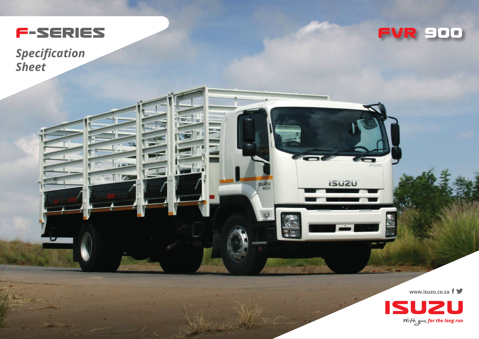

**FVR 9OO**

*Specification Sheet*